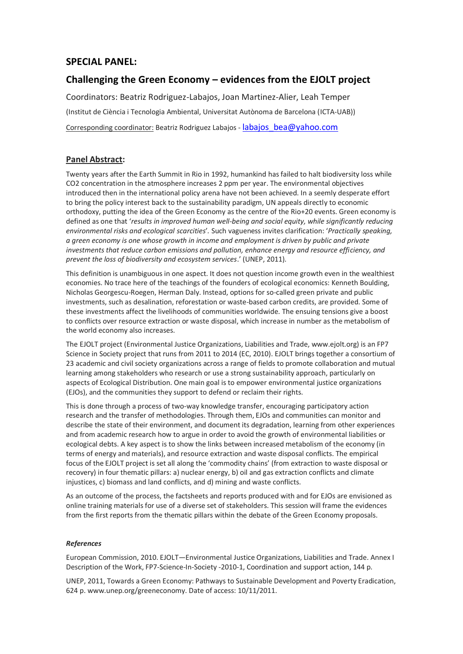# **SPECIAL PANEL:**

# **Challenging the Green Economy – evidences from the EJOLT project**

Coordinators: Beatriz Rodriguez-Labajos, Joan Martinez-Alier, Leah Temper (Institut de Ciència i Tecnologia Ambiental, Universitat Autònoma de Barcelona (ICTA-UAB)) Corresponding coordinator: Beatriz Rodriguez Labajos - labajos bea@yahoo.com

## **Panel Abstract:**

Twenty years after the Earth Summit in Rio in 1992, humankind has failed to halt biodiversity loss while CO2 concentration in the atmosphere increases 2 ppm per year. The environmental objectives introduced then in the international policy arena have not been achieved. In a seemly desperate effort to bring the policy interest back to the sustainability paradigm, UN appeals directly to economic orthodoxy, putting the idea of the Green Economy as the centre of the Rio+20 events. Green economy is defined as one that '*results in improved human well-being and social equity, while significantly reducing environmental risks and ecological scarcities*'*.* Such vagueness invites clarification: '*Practically speaking, a green economy is one whose growth in income and employment is driven by public and private investments that reduce carbon emissions and pollution, enhance energy and resource efficiency, and prevent the loss of biodiversity and ecosystem services*.' (UNEP, 2011).

This definition is unambiguous in one aspect. It does not question income growth even in the wealthiest economies. No trace here of the teachings of the founders of ecological economics: Kenneth Boulding, Nicholas Georgescu-Roegen, Herman Daly. Instead, options for so-called green private and public investments, such as desalination, reforestation or waste-based carbon credits, are provided. Some of these investments affect the livelihoods of communities worldwide. The ensuing tensions give a boost to conflicts over resource extraction or waste disposal, which increase in number as the metabolism of the world economy also increases.

The EJOLT project (Environmental Justice Organizations, Liabilities and Trade, www.ejolt.org) is an FP7 Science in Society project that runs from 2011 to 2014 (EC, 2010). EJOLT brings together a consortium of 23 academic and civil society organizations across a range of fields to promote collaboration and mutual learning among stakeholders who research or use a strong sustainability approach, particularly on aspects of Ecological Distribution. One main goal is to empower environmental justice organizations (EJOs), and the communities they support to defend or reclaim their rights.

This is done through a process of two-way knowledge transfer, encouraging participatory action research and the transfer of methodologies. Through them, EJOs and communities can monitor and describe the state of their environment, and document its degradation, learning from other experiences and from academic research how to argue in order to avoid the growth of environmental liabilities or ecological debts. A key aspect is to show the links between increased metabolism of the economy (in terms of energy and materials), and resource extraction and waste disposal conflicts. The empirical focus of the EJOLT project is set all along the 'commodity chains' (from extraction to waste disposal or recovery) in four thematic pillars: a) nuclear energy, b) oil and gas extraction conflicts and climate injustices, c) biomass and land conflicts, and d) mining and waste conflicts.

As an outcome of the process, the factsheets and reports produced with and for EJOs are envisioned as online training materials for use of a diverse set of stakeholders. This session will frame the evidences from the first reports from the thematic pillars within the debate of the Green Economy proposals.

## *References*

European Commission, 2010. EJOLT—Environmental Justice Organizations, Liabilities and Trade. Annex I Description of the Work, FP7-Science-In-Society -2010-1, Coordination and support action, 144 p.

UNEP, 2011, Towards a Green Economy: Pathways to Sustainable Development and Poverty Eradication, 624 p. www.unep.org/greeneconomy. Date of access: 10/11/2011.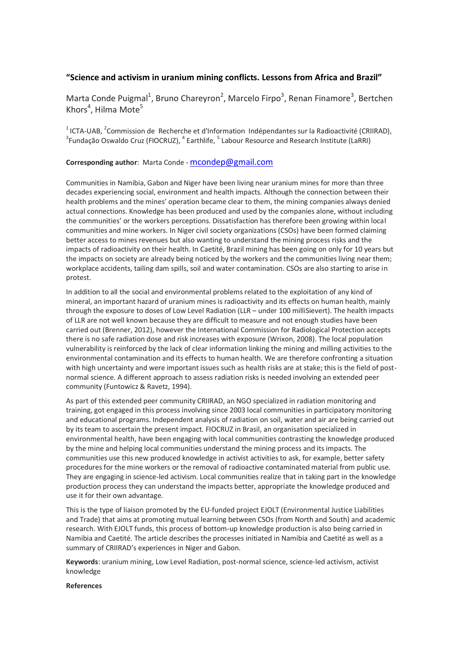## **"Science and activism in uranium mining conflicts. Lessons from Africa and Brazil"**

Marta Conde Puigmal<sup>1</sup>, Bruno Chareyron<sup>2</sup>, Marcelo Firpo<sup>3</sup>, Renan Finamore<sup>3</sup>, Bertchen Khors<sup>4</sup>, Hilma Mote<sup>5</sup>

<sup>1</sup> ICTA-UAB, <sup>2</sup> Commission de Recherche et d'Information Indépendantes sur la Radioactivité (CRIIRAD),  $^3$ Fundação Oswaldo Cruz (FIOCRUZ),  $^4$  Earthlife,  $^5$  Labour Resource and Research Institute (LaRRI)

#### **Corresponding author**: Marta Conde - [mcondep@gmail.com](mailto:mcondep@gmail.com)

Communities in Namibia, Gabon and Niger have been living near uranium mines for more than three decades experiencing social, environment and health impacts. Although the connection between their health problems and the mines' operation became clear to them, the mining companies always denied actual connections. Knowledge has been produced and used by the companies alone, without including the communities' or the workers perceptions. Dissatisfaction has therefore been growing within local communities and mine workers. In Niger civil society organizations (CSOs) have been formed claiming better access to mines revenues but also wanting to understand the mining process risks and the impacts of radioactivity on their health. In Caetité, Brazil mining has been going on only for 10 years but the impacts on society are already being noticed by the workers and the communities living near them; workplace accidents, tailing dam spills, soil and water contamination. CSOs are also starting to arise in protest.

In addition to all the social and environmental problems related to the exploitation of any kind of mineral, an important hazard of uranium mines is radioactivity and its effects on human health, mainly through the exposure to doses of Low Level Radiation (LLR – under 100 milliSievert). The health impacts of LLR are not well known because they are difficult to measure and not enough studies have been carried out (Brenner, 2012), however the International Commission for Radiological Protection accepts there is no safe radiation dose and risk increases with exposure (Wrixon, 2008). The local population vulnerability is reinforced by the lack of clear information linking the mining and milling activities to the environmental contamination and its effects to human health. We are therefore confronting a situation with high uncertainty and were important issues such as health risks are at stake; this is the field of postnormal science. A different approach to assess radiation risks is needed involving an extended peer community (Funtowicz & Ravetz, 1994).

As part of this extended peer community CRIIRAD, an NGO specialized in radiation monitoring and training, got engaged in this process involving since 2003 local communities in participatory monitoring and educational programs. Independent analysis of radiation on soil, water and air are being carried out by its team to ascertain the present impact. FIOCRUZ in Brasil, an organisation specialized in environmental health, have been engaging with local communities contrasting the knowledge produced by the mine and helping local communities understand the mining process and its impacts. The communities use this new produced knowledge in activist activities to ask, for example, better safety procedures for the mine workers or the removal of radioactive contaminated material from public use. They are engaging in science-led activism. Local communities realize that in taking part in the knowledge production process they can understand the impacts better, appropriate the knowledge produced and use it for their own advantage.

This is the type of liaison promoted by the EU-funded project EJOLT (Environmental Justice Liabilities and Trade) that aims at promoting mutual learning between CSOs (from North and South) and academic research. With EJOLT funds, this process of bottom-up knowledge production is also being carried in Namibia and Caetité. The article describes the processes initiated in Namibia and Caetité as well as a summary of CRIIRAD's experiences in Niger and Gabon.

**Keywords**: uranium mining, Low Level Radiation, post-normal science, science-led activism, activist knowledge

#### **References**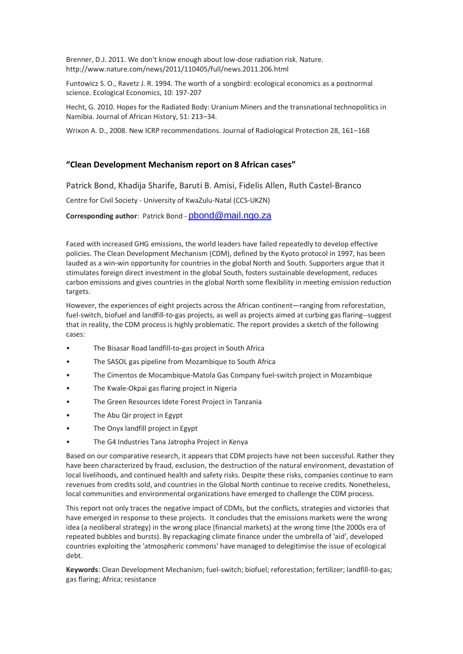Brenner, D.J. 2011. We don't know enough about low-dose radiation risk. Nature. http://www.nature.com/news/2011/110405/full/news.2011.206.html

Funtowicz S. O., Ravetz J. R. 1994. The worth of a songbird: ecological economics as a postnormal science. Ecological Economics, 10: 197-207

Hecht, G. 2010. Hopes for the Radiated Body: Uranium Miners and the transnational technopolitics in Namibia. Journal of African History, 51: 213–34.

Wrixon A. D., 2008. New ICRP recommendations. Journal of Radiological Protection 28, 161–168

## **"Clean Development Mechanism report on 8 African cases"**

Patrick Bond, Khadija Sharife, Baruti B. Amisi, Fidelis Allen, Ruth Castel-Branco

Centre for Civil Society - University of KwaZulu-Natal (CCS-UKZN)

#### **Corresponding author**: Patrick Bond - [pbond@mail.ngo.za](mailto:pbond@mail.ngo.za)

Faced with increased GHG emissions, the world leaders have failed repeatedly to develop effective policies. The Clean Development Mechanism (CDM), defined by the Kyoto protocol in 1997, has been lauded as a win-win opportunity for countries in the global North and South. Supporters argue that it stimulates foreign direct investment in the global South, fosters sustainable development, reduces carbon emissions and gives countries in the global North some flexibility in meeting emission reduction targets.

However, the experiences of eight projects across the African continent—ranging from reforestation, fuel-switch, biofuel and landfill-to-gas projects, as well as projects aimed at curbing gas flaring--suggest that in reality, the CDM process is highly problematic. The report provides a sketch of the following cases:

- The Bisasar Road landfill-to-gas project in South Africa
- The SASOL gas pipeline from Mozambique to South Africa
- The Cimentos de Mocambique-Matola Gas Company fuel-switch project in Mozambique
- The Kwale-Okpai gas flaring project in Nigeria
- The Green Resources Idete Forest Project in Tanzania
- The Abu Qir project in Egypt
- The Onyx landfill project in Egypt
- The G4 Industries Tana Jatropha Project in Kenya

Based on our comparative research, it appears that CDM projects have not been successful. Rather they have been characterized by fraud, exclusion, the destruction of the natural environment, devastation of local livelihoods, and continued health and safety risks. Despite these risks, companies continue to earn revenues from credits sold, and countries in the Global North continue to receive credits. Nonetheless, local communities and environmental organizations have emerged to challenge the CDM process.

This report not only traces the negative impact of CDMs, but the conflicts, strategies and victories that have emerged in response to these projects. It concludes that the emissions markets were the wrong idea (a neoliberal strategy) in the wrong place (financial markets) at the wrong time (the 2000s era of repeated bubbles and bursts). By repackaging climate finance under the umbrella of 'aid', developed countries exploiting the 'atmospheric commons' have managed to delegitimise the issue of ecological debt.

**Keywords**: Clean Development Mechanism; fuel-switch; biofuel; reforestation; fertilizer; landfill-to-gas; gas flaring; Africa; resistance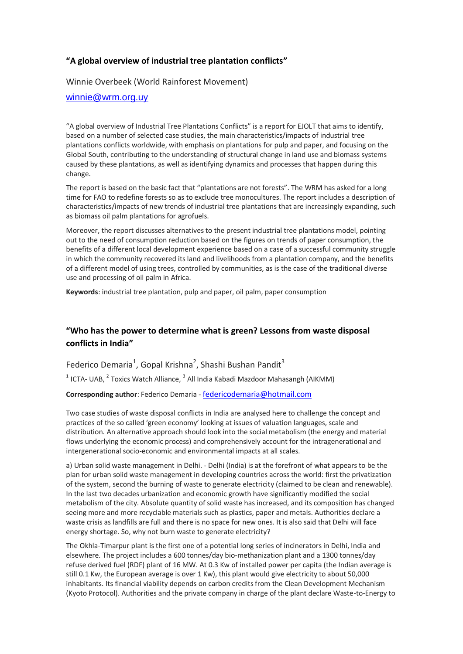## **"A global overview of industrial tree plantation conflicts"**

Winnie Overbeek (World Rainforest Movement)

### [winnie@wrm.org.uy](mailto:winnie@wrm.org.uy)

"A global overview of Industrial Tree Plantations Conflicts" is a report for EJOLT that aims to identify, based on a number of selected case studies, the main characteristics/impacts of industrial tree plantations conflicts worldwide, with emphasis on plantations for pulp and paper, and focusing on the Global South, contributing to the understanding of structural change in land use and biomass systems caused by these plantations, as well as identifying dynamics and processes that happen during this change.

The report is based on the basic fact that "plantations are not forests". The WRM has asked for a long time for FAO to redefine forests so as to exclude tree monocultures. The report includes a description of characteristics/impacts of new trends of industrial tree plantations that are increasingly expanding, such as biomass oil palm plantations for agrofuels.

Moreover, the report discusses alternatives to the present industrial tree plantations model, pointing out to the need of consumption reduction based on the figures on trends of paper consumption, the benefits of a different local development experience based on a case of a successful community struggle in which the community recovered its land and livelihoods from a plantation company, and the benefits of a different model of using trees, controlled by communities, as is the case of the traditional diverse use and processing of oil palm in Africa.

**Keywords**: industrial tree plantation, pulp and paper, oil palm, paper consumption

## **"Who has the power to determine what is green? Lessons from waste disposal conflicts in India"**

Federico Demaria<sup>1</sup>, Gopal Krishna<sup>2</sup>, Shashi Bushan Pandit<sup>3</sup>  $^{1}$  ICTA- UAB,  $^{2}$  Toxics Watch Alliance,  $^{3}$  All India Kabadi Mazdoor Mahasangh (AIKMM) **Corresponding author**: Federico Demaria - [federicodemaria@hotmail.com](mailto:federicodemaria@hotmail.com)

Two case studies of waste disposal conflicts in India are analysed here to challenge the concept and practices of the so called 'green economy' looking at issues of valuation languages, scale and distribution. An alternative approach should look into the social metabolism (the energy and material flows underlying the economic process) and comprehensively account for the intragenerational and intergenerational socio-economic and environmental impacts at all scales.

a) Urban solid waste management in Delhi. - Delhi (India) is at the forefront of what appears to be the plan for urban solid waste management in developing countries across the world: first the privatization of the system, second the burning of waste to generate electricity (claimed to be clean and renewable). In the last two decades urbanization and economic growth have significantly modified the social metabolism of the city. Absolute quantity of solid waste has increased, and its composition has changed seeing more and more recyclable materials such as plastics, paper and metals. Authorities declare a waste crisis as landfills are full and there is no space for new ones. It is also said that Delhi will face energy shortage. So, why not burn waste to generate electricity?

The Okhla-Timarpur plant is the first one of a potential long series of incinerators in Delhi, India and elsewhere. The project includes a 600 tonnes/day bio-methanization plant and a 1300 tonnes/day refuse derived fuel (RDF) plant of 16 MW. At 0.3 Kw of installed power per capita (the Indian average is still 0.1 Kw, the European average is over 1 Kw), this plant would give electricity to about 50,000 inhabitants. Its financial viability depends on carbon credits from the Clean Development Mechanism (Kyoto Protocol). Authorities and the private company in charge of the plant declare Waste-to-Energy to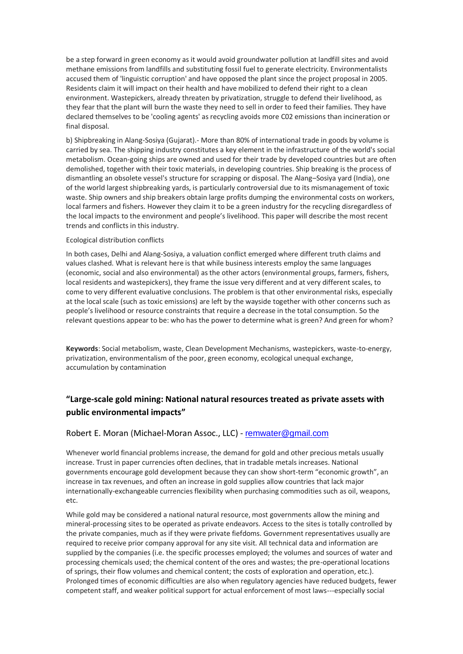be a step forward in green economy as it would avoid groundwater pollution at landfill sites and avoid methane emissions from landfills and substituting fossil fuel to generate electricity. Environmentalists accused them of 'linguistic corruption' and have opposed the plant since the project proposal in 2005. Residents claim it will impact on their health and have mobilized to defend their right to a clean environment. Wastepickers, already threaten by privatization, struggle to defend their livelihood, as they fear that the plant will burn the waste they need to sell in order to feed their families. They have declared themselves to be 'cooling agents' as recycling avoids more C02 emissions than incineration or final disposal.

b) Shipbreaking in Alang-Sosiya (Gujarat).- More than 80% of international trade in goods by volume is carried by sea. The shipping industry constitutes a key element in the infrastructure of the world's social metabolism. Ocean-going ships are owned and used for their trade by developed countries but are often demolished, together with their toxic materials, in developing countries. Ship breaking is the process of dismantling an obsolete vessel's structure for scrapping or disposal. The Alang–Sosiya yard (India), one of the world largest shipbreaking yards, is particularly controversial due to its mismanagement of toxic waste. Ship owners and ship breakers obtain large profits dumping the environmental costs on workers, local farmers and fishers. However they claim it to be a green industry for the recycling disregardless of the local impacts to the environment and people's livelihood. This paper will describe the most recent trends and conflicts in this industry.

#### Ecological distribution conflicts

In both cases, Delhi and Alang-Sosiya, a valuation conflict emerged where different truth claims and values clashed. What is relevant here is that while business interests employ the same languages (economic, social and also environmental) as the other actors (environmental groups, farmers, fishers, local residents and wastepickers), they frame the issue very different and at very different scales, to come to very different evaluative conclusions. The problem is that other environmental risks, especially at the local scale (such as toxic emissions) are left by the wayside together with other concerns such as people's livelihood or resource constraints that require a decrease in the total consumption. So the relevant questions appear to be: who has the power to determine what is green? And green for whom?

Keywords: Social metabolism, waste, Clean Development Mechanisms, wastepickers, waste-to-energy, privatization, environmentalism of the poor, green economy, ecological unequal exchange, accumulation by contamination

## **"Large-scale gold mining: National natural resources treated as private assets with public environmental impacts"**

## Robert E. Moran (Michael-Moran Assoc., LLC) - [remwater@gmail.com](mailto:remwater@gmail.com)

Whenever world financial problems increase, the demand for gold and other precious metals usually increase. Trust in paper currencies often declines, that in tradable metals increases. National governments encourage gold development because they can show short-term "economic growth", an increase in tax revenues, and often an increase in gold supplies allow countries that lack major internationally-exchangeable currencies flexibility when purchasing commodities such as oil, weapons, etc.

While gold may be considered a national natural resource, most governments allow the mining and mineral-processing sites to be operated as private endeavors. Access to the sites is totally controlled by the private companies, much as if they were private fiefdoms. Government representatives usually are required to receive prior company approval for any site visit. All technical data and information are supplied by the companies (i.e. the specific processes employed; the volumes and sources of water and processing chemicals used; the chemical content of the ores and wastes; the pre-operational locations of springs, their flow volumes and chemical content; the costs of exploration and operation, etc.). Prolonged times of economic difficulties are also when regulatory agencies have reduced budgets, fewer competent staff, and weaker political support for actual enforcement of most laws---especially social